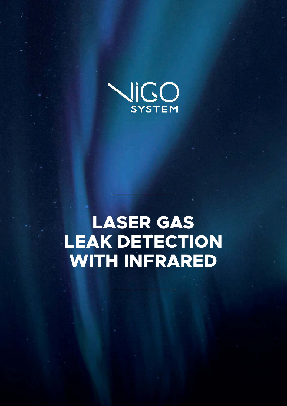

# **LASER GAS LEAK DETECTION WITH INFRARED**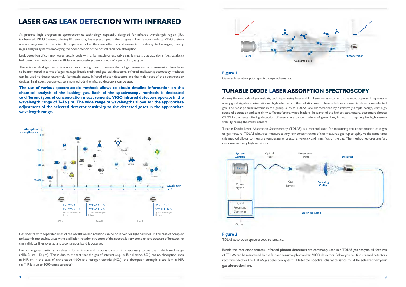At present, high progress in optoelectronics technology, especially designed for infrared wavelength region (IR), is observed. VIGO System, offering IR detectors, has a great input in the progress. The devices made by VIGO System are not only used in the scientific experiments but they are often crucial elements in industry technologies, mostly in gas analysis systems employing the phenomenon of the optical radiation absorption.

Leak detection of common gases usually deals with a flammable or explosive gas. It means that traditional (i.e., catalytic) leak detection methods are insufficient to successfully detect a leak of a particular gas type.

There is no ideal gas transmission or resource tightness. It means that all gas resources or transmission lines have to be monitored in terms of a gas leakage. Beside traditional gas leak detectors, infrared and laser spectroscopy methods can be used to detect extremely flammable gases. Infrared photon detectors are the major part of the spectroscopy devices. In all spectroscopy gas sensing methods the infrared detectors can be used.

**The use of various spectroscopic methods allows to obtain detailed information on the chemical analysis of the leaking gas. Each of the spectroscopy methods is dedicated to different types of concentration measurements. VIGO infrared detectors operate in the wavelength range of 2–16 μm. The wide range of wavelengths allows for the appropriate adjustment of the selected detector sensitivity to the detected gases in the appropriate wavelength range.**

Gas spectra with separated lines of the oscillation and rotation can be observed for light particles. In the case of complex polyatomic molecules, usually the oscillation-rotation structure of the spectra is very complex and because of broadening the individual lines overlap and a continuous band is observed.

For some gases particularly relevant for emission and process control, it is necessary to use the mid-infrared range (MIR, 3 µm - 12 µm). This is due to the fact that the gas of interest (e.g., sulfur dioxide, SO<sub>2</sub>) has no absorption lines in NIR or, in the case of nitric oxide (NO) and nitrogen dioxide (NO<sub>2</sub>), the absorption strength is too low in NIR (in MIR it is up to 1000 times stronger).

# LASER GAS LEAK DETECTION WITH INFRARED

#### **Figure 2**

TDLAS absorption spectroscopy schematics.

Beside the laser diode sources, **infrared photon detectors** are commonly used in a TDLAS gas analysis. All features of TDLAS can be maintained by the fast and sensitive photovoltaic VIGO detectors. Below you can find infrared detectors recommended for the TDLAS gas detection systems. **Detector spectral characteristics must be selected for your gas absorption line.** 



**Figure 1** 

General laser absorption spectroscopy schematics.



Among the methods of gas analysis, techniques using laser and LED sources are currently the most popular. They ensure a very good signal-to-noise ratio and high selectivity of the radiation used. These solutions are used to detect one selected gas. The most popular systems in this group, such as TDLAS, are characterized by a relatively simple design, very high speed of operation and sensitivity sufficient for many applications. In search of the highest parameters, customers choose CRDS instruments offering detection of even trace concentrations of gases, but, in return, they require high system stability during the measurement.



Tunable Diode Laser Absorption Spectroscopy (TDLAS) is a method used for measuring the concentration of a gas or gas mixture. TDLAS allows to measure a very low concentration of the measured gas (up to ppb). At the same time this method allows to measure temperature, pressure, velocity and mass flux of the gas. The method features are fast response and very high sensitivity.

# TUNABLE DIODE LASER ABSORPTION SPECTROSCOPY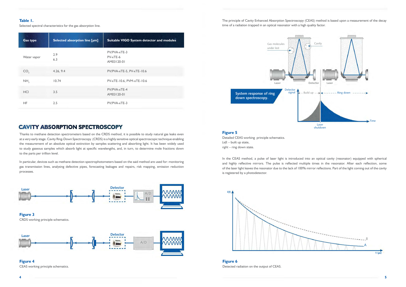#### **Table 1.**

Selected spectral characteristics for the gas absorption line.

| <b>Gas type</b> | Selected absorption line [µm] | Suitable VIGO System detector and modules     |
|-----------------|-------------------------------|-----------------------------------------------|
| Water vapor     | 2.9<br>6.3                    | PV/PVA-xTE-3<br>$PV$ - $xTE$ -6<br>AM03120-01 |
| CO <sub>2</sub> | 4.26, 9.4                     | PV/PVA-xTE-5, PV-xTE-10.6                     |
| NH <sub>2</sub> | 10.74                         | PV-xTE-10.6, PVM-xTE-10.6                     |
| <b>HCI</b>      | 3.5                           | PV/PVA-xTE-4<br>AM03120-01                    |
| HF.             | 2.5                           | PV/PVA-xTE-3                                  |

#### **Figure 5**

Detailed CEAS working principle schematics. *Left* – built up state, *right* – ring down state.

In the CEAS method, a pulse of laser light is introduced into an optical cavity (resonator) equipped with spherical and highly reflective mirrors. The pulse is reflected multiple times in the resonator. After each reflection, some of the laser light leaves the resonator due to the lack of 100% mirror reflections. Part of the light coming out of the cavity is registered by a photodetector.



**Figure 3**  CRDS working principle schematics.



**Figure 4**  CEAS working principle schematics.

The principle of Cavity Enhanced Absorption Spectroscopy (CEAS) method is based upon a measurement of the decay

# time of a radiation trapped in an optical resonator with a high quality factor.



**Figure 6**  Detected radiation on the output of CEAS.



Thanks to methane detection spectrometers based on the CRDS method, it is possible to study natural gas leaks even at a very early stage. Cavity Ring-Down Spectroscopy (CRDS) is a highly sensitive optical spectroscopic technique enabling the measurement of an absolute optical extinction by samples scattering and absorbing light. It has been widely used to study gaseous samples which absorb light at specific wavelengths, and, in turn, to determine mole fractions down to the parts per trillion level.

In particular, devices such as methane detection spectrophotometers based on the said method are used for: monitoring gas transmission lines, analysing defective pipes, forecasting leakages and repairs, risk mapping, emission reduction processes.

# CAVITY **ABSORPTION** SPECTROSCOPY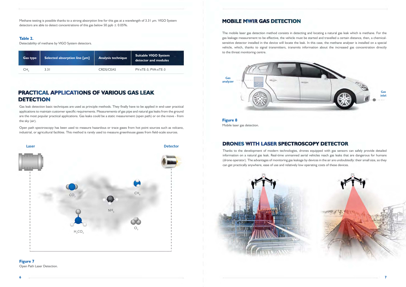Gas leak detection basic techniques are used as principle methods. They finally have to be applied in end-user practical applications to maintain customer specific requirements. Measurements of gas pipe and natural gas leaks from the ground are the most popular practical applications. Gas leaks could be a static measurement (open path) or on the move - from the sky (air).

Open path spectroscopy has been used to measure hazardous or trace gases from hot point sources such as volcano, industrial, or agricultural facilities. This method is rarely used to measure greenhouse gases from field-scale sources.

Methane testing is possible thanks to a strong absorption line for this gas at a wavelength of 3.31 µm. VIGO System detectors are able to detect concentrations of this gas below 50 ppb  $\pm$  0.05%.

#### **Table 2.**

Detectability of methane by VIGO System detectors.

| <b>Gas type</b> | Selected absorption line [µm] | <b>Analysis technique</b> | <b>Suitable VIGO System</b><br>detector and modules |
|-----------------|-------------------------------|---------------------------|-----------------------------------------------------|
| CН              | 3.3 I                         | <b>CRDS/CEAS</b>          | $PV$ -xTE-3, $PV$ A-xTE-3                           |

### **Figure 7**

Open Path Laser Detection.

# PRACTICAL APPLICATIONS OF VARIOUS GAS LEAK **DETECTION**

**Figure 8**  Mobile laser gas detection.

Thanks to the development of modern technologies, drones equipped with gas sensors can safely provide detailed information on a natural gas leak. Real-time unmanned aerial vehicles reach gas leaks that are dangerous for humans (drone operator). The advantages of monitoring gas leakage by devices in the air are undoubtedly: their small size, so they can get practically anywhere, ease of use and relatively low operating costs of these devices.







The mobile laser gas detection method consists in detecting and locating a natural gas leak which is methane. For the gas leakage measurement to be effective, the vehicle must be started and travelled a certain distance, then, a chemicalsensitive detector installed in the device will locate the leak. In this case, the methane analyser is installed on a special vehicle, which, thanks to signal transmitters, transmits information about the increased gas concentration directly to the threat monitoring centre.

### MOBILE MWIR GAS DETECTION

# DRONES WITH LASER SPECTROSCOPY DETECTOR